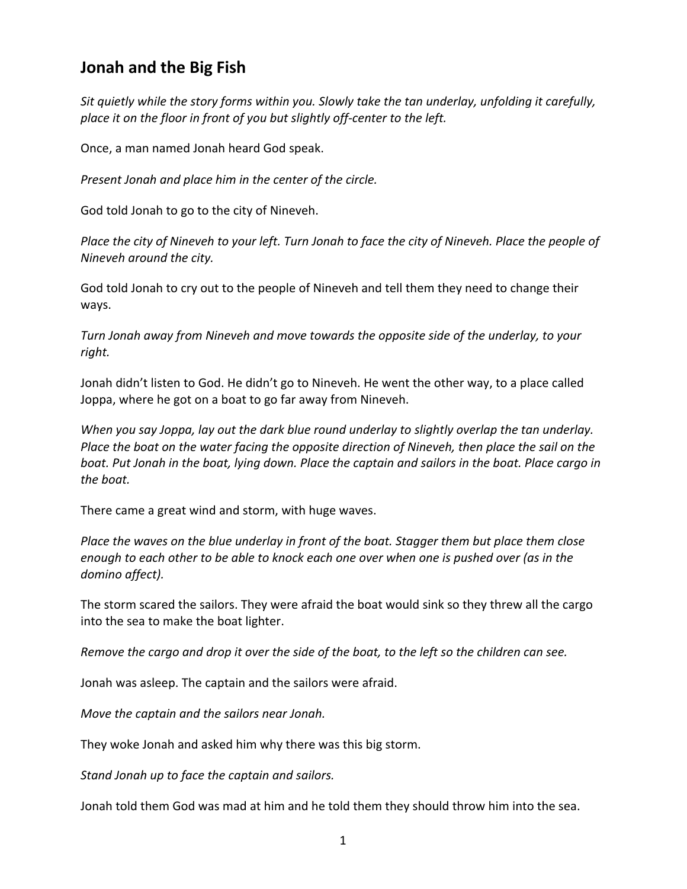## **Jonah and the Big Fish**

*Sit quietly while the story forms within you. Slowly take the tan underlay, unfolding it carefully, place it on the floor in front of you but slightly off-center to the left.* 

Once, a man named Jonah heard God speak.

*Present Jonah and place him in the center of the circle.*

God told Jonah to go to the city of Nineveh.

*Place the city of Nineveh to your left. Turn Jonah to face the city of Nineveh. Place the people of Nineveh around the city.*

God told Jonah to cry out to the people of Nineveh and tell them they need to change their ways.

*Turn Jonah away from Nineveh and move towards the opposite side of the underlay, to your right.* 

Jonah didn't listen to God. He didn't go to Nineveh. He went the other way, to a place called Joppa, where he got on a boat to go far away from Nineveh.

*When you say Joppa, lay out the dark blue round underlay to slightly overlap the tan underlay. Place the boat on the water facing the opposite direction of Nineveh, then place the sail on the boat. Put Jonah in the boat, lying down. Place the captain and sailors in the boat. Place cargo in the boat.* 

There came a great wind and storm, with huge waves.

*Place the waves on the blue underlay in front of the boat. Stagger them but place them close enough to each other to be able to knock each one over when one is pushed over (as in the domino affect).*

The storm scared the sailors. They were afraid the boat would sink so they threw all the cargo into the sea to make the boat lighter.

*Remove the cargo and drop it over the side of the boat, to the left so the children can see.*

Jonah was asleep. The captain and the sailors were afraid.

*Move the captain and the sailors near Jonah.*

They woke Jonah and asked him why there was this big storm.

*Stand Jonah up to face the captain and sailors.* 

Jonah told them God was mad at him and he told them they should throw him into the sea.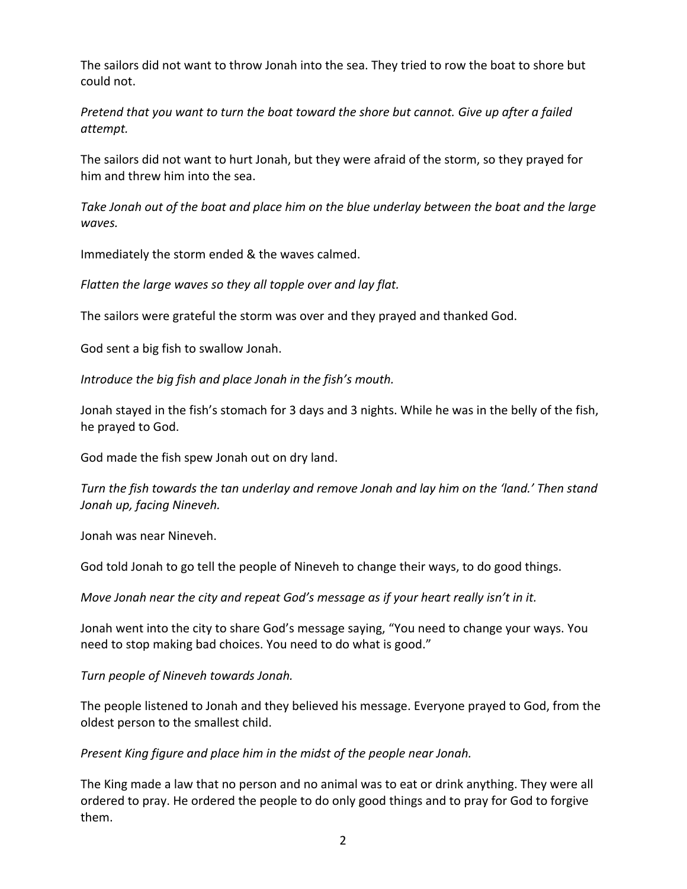The sailors did not want to throw Jonah into the sea. They tried to row the boat to shore but could not.

*Pretend that you want to turn the boat toward the shore but cannot. Give up after a failed attempt.* 

The sailors did not want to hurt Jonah, but they were afraid of the storm, so they prayed for him and threw him into the sea.

*Take Jonah out of the boat and place him on the blue underlay between the boat and the large waves.* 

Immediately the storm ended & the waves calmed.

*Flatten the large waves so they all topple over and lay flat.*

The sailors were grateful the storm was over and they prayed and thanked God.

God sent a big fish to swallow Jonah.

*Introduce the big fish and place Jonah in the fish's mouth.* 

Jonah stayed in the fish's stomach for 3 days and 3 nights. While he was in the belly of the fish, he prayed to God.

God made the fish spew Jonah out on dry land.

*Turn the fish towards the tan underlay and remove Jonah and lay him on the 'land.' Then stand Jonah up, facing Nineveh.*

Jonah was near Nineveh.

God told Jonah to go tell the people of Nineveh to change their ways, to do good things.

*Move Jonah near the city and repeat God's message as if your heart really isn't in it.*

Jonah went into the city to share God's message saying, "You need to change your ways. You need to stop making bad choices. You need to do what is good."

*Turn people of Nineveh towards Jonah.*

The people listened to Jonah and they believed his message. Everyone prayed to God, from the oldest person to the smallest child.

*Present King figure and place him in the midst of the people near Jonah.* 

The King made a law that no person and no animal was to eat or drink anything. They were all ordered to pray. He ordered the people to do only good things and to pray for God to forgive them.